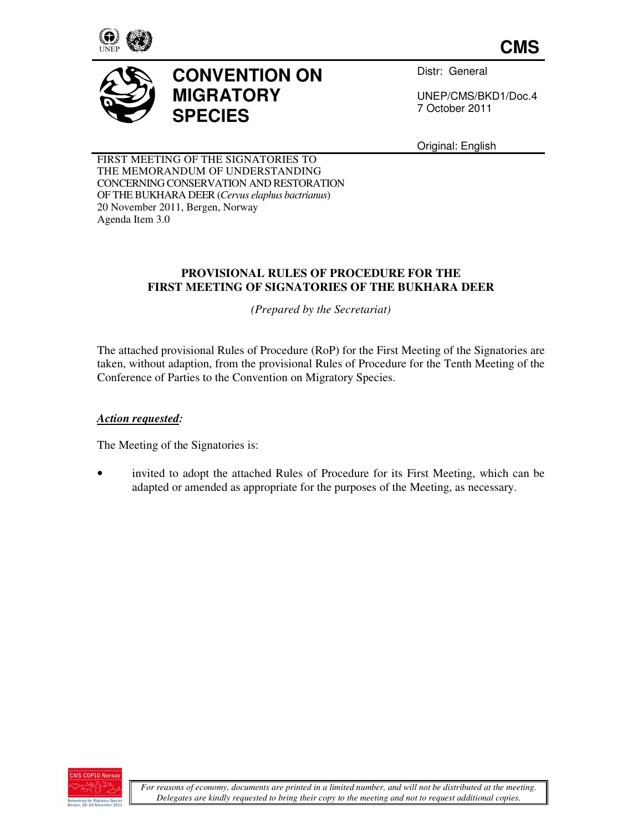

**CMS**



Distr: General

UNEP/CMS/BKD1/Doc.4 7 October 2011

Original: English

FIRST MEETING OF THE SIGNATORIES TO THE MEMORANDUM OF UNDERSTANDING CONCERNING CONSERVATION AND RESTORATION OF THE BUKHARA DEER (*Cervus elaphus bactrianus*) 20 November 2011, Bergen, Norway Agenda Item 3.0

# **PROVISIONAL RULES OF PROCEDURE FOR THE FIRST MEETING OF SIGNATORIES OF THE BUKHARA DEER**

*(Prepared by the Secretariat)* 

The attached provisional Rules of Procedure (RoP) for the First Meeting of the Signatories are taken, without adaption, from the provisional Rules of Procedure for the Tenth Meeting of the Conference of Parties to the Convention on Migratory Species.

# *Action requested:*

The Meeting of the Signatories is:

invited to adopt the attached Rules of Procedure for its First Meeting, which can be adapted or amended as appropriate for the purposes of the Meeting, as necessary.

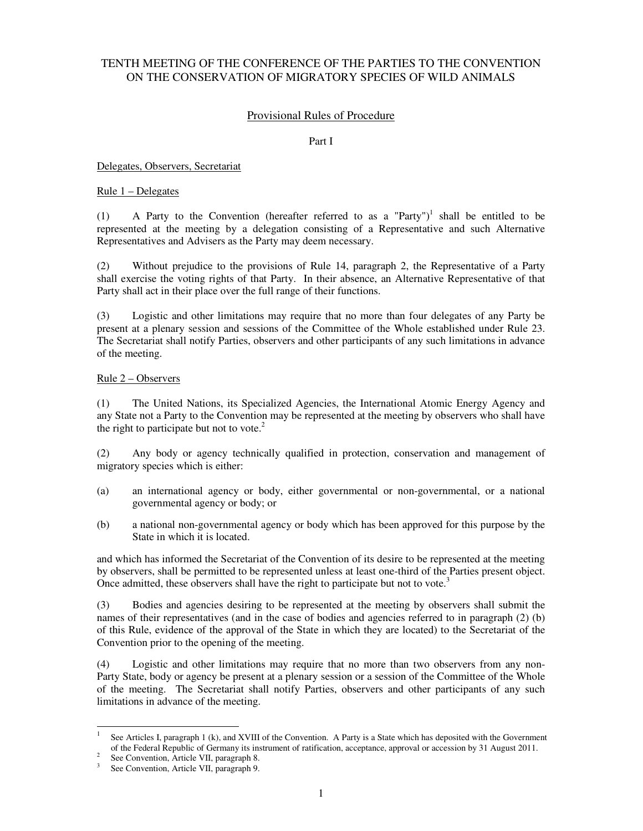# TENTH MEETING OF THE CONFERENCE OF THE PARTIES TO THE CONVENTION ON THE CONSERVATION OF MIGRATORY SPECIES OF WILD ANIMALS

## Provisional Rules of Procedure

#### Part I

Delegates, Observers, Secretariat

### Rule 1 – Delegates

(1) A Party to the Convention (hereafter referred to as a "Party")<sup>1</sup> shall be entitled to be represented at the meeting by a delegation consisting of a Representative and such Alternative Representatives and Advisers as the Party may deem necessary.

(2) Without prejudice to the provisions of Rule 14, paragraph 2, the Representative of a Party shall exercise the voting rights of that Party. In their absence, an Alternative Representative of that Party shall act in their place over the full range of their functions.

(3) Logistic and other limitations may require that no more than four delegates of any Party be present at a plenary session and sessions of the Committee of the Whole established under Rule 23. The Secretariat shall notify Parties, observers and other participants of any such limitations in advance of the meeting.

#### Rule 2 – Observers

(1) The United Nations, its Specialized Agencies, the International Atomic Energy Agency and any State not a Party to the Convention may be represented at the meeting by observers who shall have the right to participate but not to vote. $2$ 

(2) Any body or agency technically qualified in protection, conservation and management of migratory species which is either:

- (a) an international agency or body, either governmental or non-governmental, or a national governmental agency or body; or
- (b) a national non-governmental agency or body which has been approved for this purpose by the State in which it is located.

and which has informed the Secretariat of the Convention of its desire to be represented at the meeting by observers, shall be permitted to be represented unless at least one-third of the Parties present object. Once admitted, these observers shall have the right to participate but not to vote.<sup>3</sup>

(3) Bodies and agencies desiring to be represented at the meeting by observers shall submit the names of their representatives (and in the case of bodies and agencies referred to in paragraph (2) (b) of this Rule, evidence of the approval of the State in which they are located) to the Secretariat of the Convention prior to the opening of the meeting.

(4) Logistic and other limitations may require that no more than two observers from any non-Party State, body or agency be present at a plenary session or a session of the Committee of the Whole of the meeting. The Secretariat shall notify Parties, observers and other participants of any such limitations in advance of the meeting.

 $\overline{\phantom{a}}$ 

<sup>1</sup> See Articles I, paragraph 1 (k), and XVIII of the Convention. A Party is a State which has deposited with the Government of the Federal Republic of Germany its instrument of ratification, acceptance, approval or accession by 31 August 2011.

<sup>&</sup>lt;sup>2</sup> See Convention, Article VII, paragraph 8.

<sup>&</sup>lt;sup>3</sup> See Convention, Article VII, paragraph 9.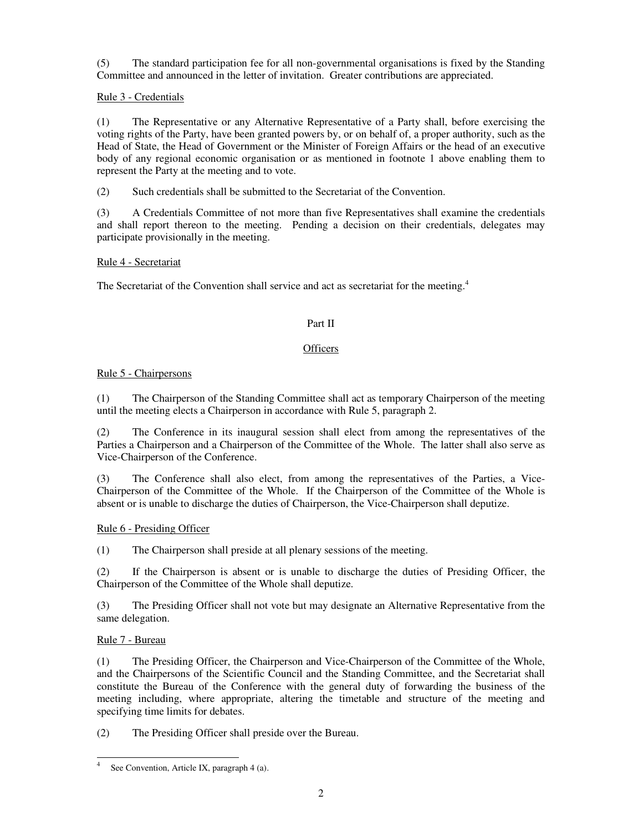(5) The standard participation fee for all non-governmental organisations is fixed by the Standing Committee and announced in the letter of invitation. Greater contributions are appreciated.

## Rule 3 - Credentials

(1) The Representative or any Alternative Representative of a Party shall, before exercising the voting rights of the Party, have been granted powers by, or on behalf of, a proper authority, such as the Head of State, the Head of Government or the Minister of Foreign Affairs or the head of an executive body of any regional economic organisation or as mentioned in footnote 1 above enabling them to represent the Party at the meeting and to vote.

(2) Such credentials shall be submitted to the Secretariat of the Convention.

(3) A Credentials Committee of not more than five Representatives shall examine the credentials and shall report thereon to the meeting. Pending a decision on their credentials, delegates may participate provisionally in the meeting.

## Rule 4 - Secretariat

The Secretariat of the Convention shall service and act as secretariat for the meeting.<sup>4</sup>

# Part II

## **Officers**

## Rule 5 - Chairpersons

(1) The Chairperson of the Standing Committee shall act as temporary Chairperson of the meeting until the meeting elects a Chairperson in accordance with Rule 5, paragraph 2.

(2) The Conference in its inaugural session shall elect from among the representatives of the Parties a Chairperson and a Chairperson of the Committee of the Whole. The latter shall also serve as Vice-Chairperson of the Conference.

(3) The Conference shall also elect, from among the representatives of the Parties, a Vice-Chairperson of the Committee of the Whole. If the Chairperson of the Committee of the Whole is absent or is unable to discharge the duties of Chairperson, the Vice-Chairperson shall deputize.

## Rule 6 - Presiding Officer

(1) The Chairperson shall preside at all plenary sessions of the meeting.

(2) If the Chairperson is absent or is unable to discharge the duties of Presiding Officer, the Chairperson of the Committee of the Whole shall deputize.

(3) The Presiding Officer shall not vote but may designate an Alternative Representative from the same delegation.

## Rule 7 - Bureau

(1) The Presiding Officer, the Chairperson and Vice-Chairperson of the Committee of the Whole, and the Chairpersons of the Scientific Council and the Standing Committee, and the Secretariat shall constitute the Bureau of the Conference with the general duty of forwarding the business of the meeting including, where appropriate, altering the timetable and structure of the meeting and specifying time limits for debates.

(2) The Presiding Officer shall preside over the Bureau.

 4 See Convention, Article IX, paragraph 4 (a).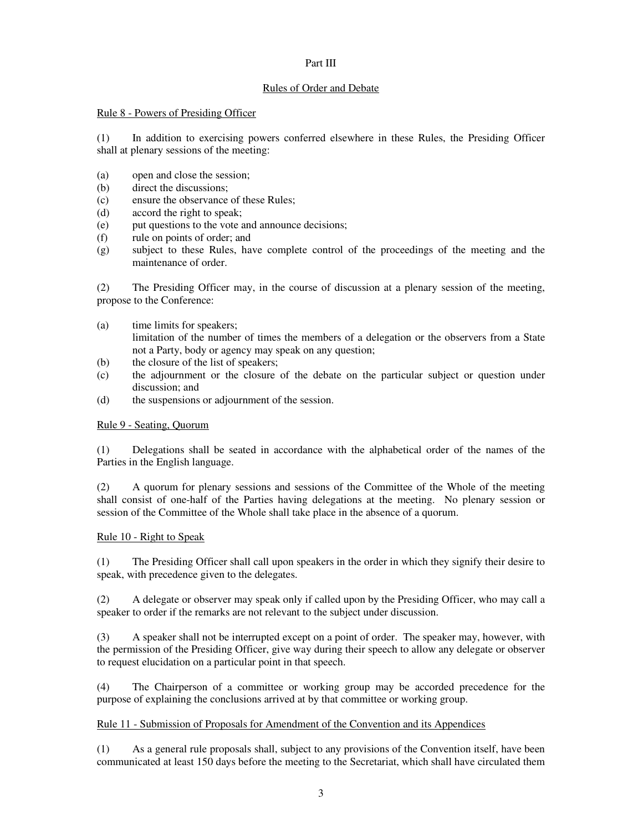## Part III

## Rules of Order and Debate

## Rule 8 - Powers of Presiding Officer

(1) In addition to exercising powers conferred elsewhere in these Rules, the Presiding Officer shall at plenary sessions of the meeting:

- (a) open and close the session;
- (b) direct the discussions;
- (c) ensure the observance of these Rules;
- (d) accord the right to speak;
- (e) put questions to the vote and announce decisions;
- (f) rule on points of order; and
- (g) subject to these Rules, have complete control of the proceedings of the meeting and the maintenance of order.

(2) The Presiding Officer may, in the course of discussion at a plenary session of the meeting, propose to the Conference:

- (a) time limits for speakers; limitation of the number of times the members of a delegation or the observers from a State not a Party, body or agency may speak on any question;
- (b) the closure of the list of speakers;
- (c) the adjournment or the closure of the debate on the particular subject or question under discussion; and
- (d) the suspensions or adjournment of the session.

## Rule 9 - Seating, Quorum

(1) Delegations shall be seated in accordance with the alphabetical order of the names of the Parties in the English language.

(2) A quorum for plenary sessions and sessions of the Committee of the Whole of the meeting shall consist of one-half of the Parties having delegations at the meeting. No plenary session or session of the Committee of the Whole shall take place in the absence of a quorum.

## Rule 10 - Right to Speak

(1) The Presiding Officer shall call upon speakers in the order in which they signify their desire to speak, with precedence given to the delegates.

(2) A delegate or observer may speak only if called upon by the Presiding Officer, who may call a speaker to order if the remarks are not relevant to the subject under discussion.

(3) A speaker shall not be interrupted except on a point of order. The speaker may, however, with the permission of the Presiding Officer, give way during their speech to allow any delegate or observer to request elucidation on a particular point in that speech.

(4) The Chairperson of a committee or working group may be accorded precedence for the purpose of explaining the conclusions arrived at by that committee or working group.

# Rule 11 - Submission of Proposals for Amendment of the Convention and its Appendices

(1) As a general rule proposals shall, subject to any provisions of the Convention itself, have been communicated at least 150 days before the meeting to the Secretariat, which shall have circulated them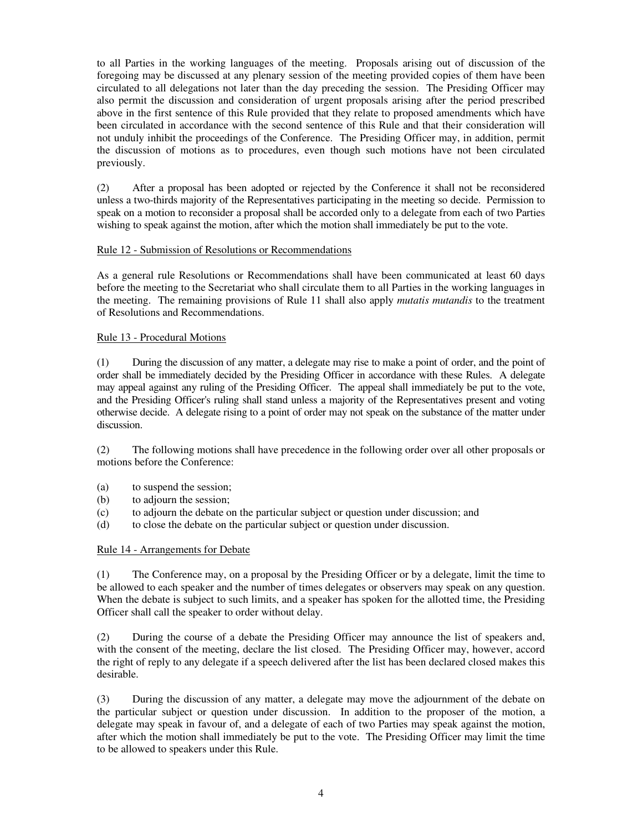to all Parties in the working languages of the meeting. Proposals arising out of discussion of the foregoing may be discussed at any plenary session of the meeting provided copies of them have been circulated to all delegations not later than the day preceding the session. The Presiding Officer may also permit the discussion and consideration of urgent proposals arising after the period prescribed above in the first sentence of this Rule provided that they relate to proposed amendments which have been circulated in accordance with the second sentence of this Rule and that their consideration will not unduly inhibit the proceedings of the Conference. The Presiding Officer may, in addition, permit the discussion of motions as to procedures, even though such motions have not been circulated previously.

(2) After a proposal has been adopted or rejected by the Conference it shall not be reconsidered unless a two-thirds majority of the Representatives participating in the meeting so decide. Permission to speak on a motion to reconsider a proposal shall be accorded only to a delegate from each of two Parties wishing to speak against the motion, after which the motion shall immediately be put to the vote.

## Rule 12 - Submission of Resolutions or Recommendations

As a general rule Resolutions or Recommendations shall have been communicated at least 60 days before the meeting to the Secretariat who shall circulate them to all Parties in the working languages in the meeting. The remaining provisions of Rule 11 shall also apply *mutatis mutandis* to the treatment of Resolutions and Recommendations.

#### Rule 13 - Procedural Motions

(1) During the discussion of any matter, a delegate may rise to make a point of order, and the point of order shall be immediately decided by the Presiding Officer in accordance with these Rules. A delegate may appeal against any ruling of the Presiding Officer. The appeal shall immediately be put to the vote, and the Presiding Officer's ruling shall stand unless a majority of the Representatives present and voting otherwise decide. A delegate rising to a point of order may not speak on the substance of the matter under discussion.

(2) The following motions shall have precedence in the following order over all other proposals or motions before the Conference:

- (a) to suspend the session;
- (b) to adjourn the session;
- (c) to adjourn the debate on the particular subject or question under discussion; and
- (d) to close the debate on the particular subject or question under discussion.

#### Rule 14 - Arrangements for Debate

(1) The Conference may, on a proposal by the Presiding Officer or by a delegate, limit the time to be allowed to each speaker and the number of times delegates or observers may speak on any question. When the debate is subject to such limits, and a speaker has spoken for the allotted time, the Presiding Officer shall call the speaker to order without delay.

(2) During the course of a debate the Presiding Officer may announce the list of speakers and, with the consent of the meeting, declare the list closed. The Presiding Officer may, however, accord the right of reply to any delegate if a speech delivered after the list has been declared closed makes this desirable.

(3) During the discussion of any matter, a delegate may move the adjournment of the debate on the particular subject or question under discussion. In addition to the proposer of the motion, a delegate may speak in favour of, and a delegate of each of two Parties may speak against the motion, after which the motion shall immediately be put to the vote. The Presiding Officer may limit the time to be allowed to speakers under this Rule.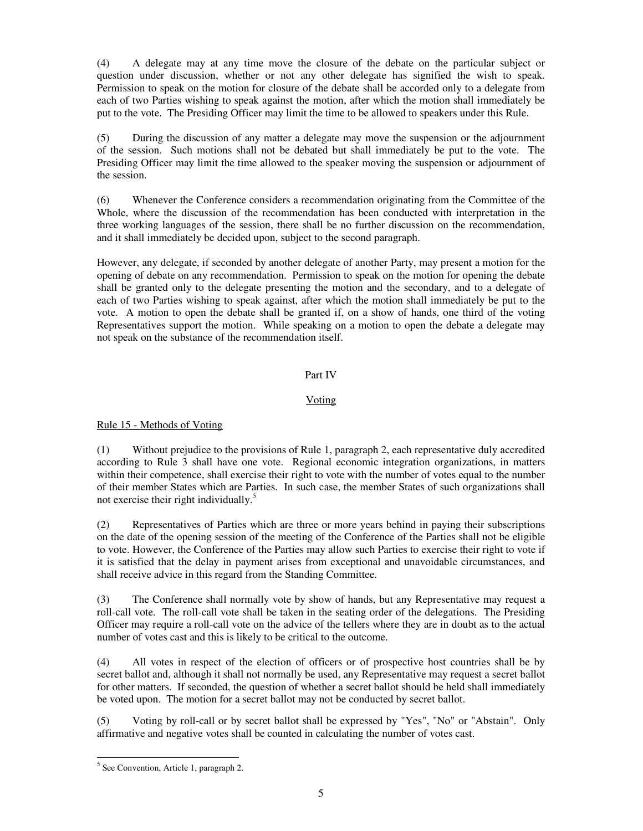(4) A delegate may at any time move the closure of the debate on the particular subject or question under discussion, whether or not any other delegate has signified the wish to speak. Permission to speak on the motion for closure of the debate shall be accorded only to a delegate from each of two Parties wishing to speak against the motion, after which the motion shall immediately be put to the vote. The Presiding Officer may limit the time to be allowed to speakers under this Rule.

(5) During the discussion of any matter a delegate may move the suspension or the adjournment of the session. Such motions shall not be debated but shall immediately be put to the vote. The Presiding Officer may limit the time allowed to the speaker moving the suspension or adjournment of the session.

(6) Whenever the Conference considers a recommendation originating from the Committee of the Whole, where the discussion of the recommendation has been conducted with interpretation in the three working languages of the session, there shall be no further discussion on the recommendation, and it shall immediately be decided upon, subject to the second paragraph.

However, any delegate, if seconded by another delegate of another Party, may present a motion for the opening of debate on any recommendation. Permission to speak on the motion for opening the debate shall be granted only to the delegate presenting the motion and the secondary, and to a delegate of each of two Parties wishing to speak against, after which the motion shall immediately be put to the vote. A motion to open the debate shall be granted if, on a show of hands, one third of the voting Representatives support the motion. While speaking on a motion to open the debate a delegate may not speak on the substance of the recommendation itself.

## Part IV

## Voting

# Rule 15 - Methods of Voting

(1) Without prejudice to the provisions of Rule 1, paragraph 2, each representative duly accredited according to Rule 3 shall have one vote. Regional economic integration organizations, in matters within their competence, shall exercise their right to vote with the number of votes equal to the number of their member States which are Parties. In such case, the member States of such organizations shall not exercise their right individually.<sup>5</sup>

(2) Representatives of Parties which are three or more years behind in paying their subscriptions on the date of the opening session of the meeting of the Conference of the Parties shall not be eligible to vote. However, the Conference of the Parties may allow such Parties to exercise their right to vote if it is satisfied that the delay in payment arises from exceptional and unavoidable circumstances, and shall receive advice in this regard from the Standing Committee.

(3) The Conference shall normally vote by show of hands, but any Representative may request a roll-call vote. The roll-call vote shall be taken in the seating order of the delegations. The Presiding Officer may require a roll-call vote on the advice of the tellers where they are in doubt as to the actual number of votes cast and this is likely to be critical to the outcome.

(4) All votes in respect of the election of officers or of prospective host countries shall be by secret ballot and, although it shall not normally be used, any Representative may request a secret ballot for other matters. If seconded, the question of whether a secret ballot should be held shall immediately be voted upon. The motion for a secret ballot may not be conducted by secret ballot.

(5) Voting by roll-call or by secret ballot shall be expressed by "Yes", "No" or "Abstain". Only affirmative and negative votes shall be counted in calculating the number of votes cast.

<sup>&</sup>lt;sup>5</sup> See Convention, Article 1, paragraph 2.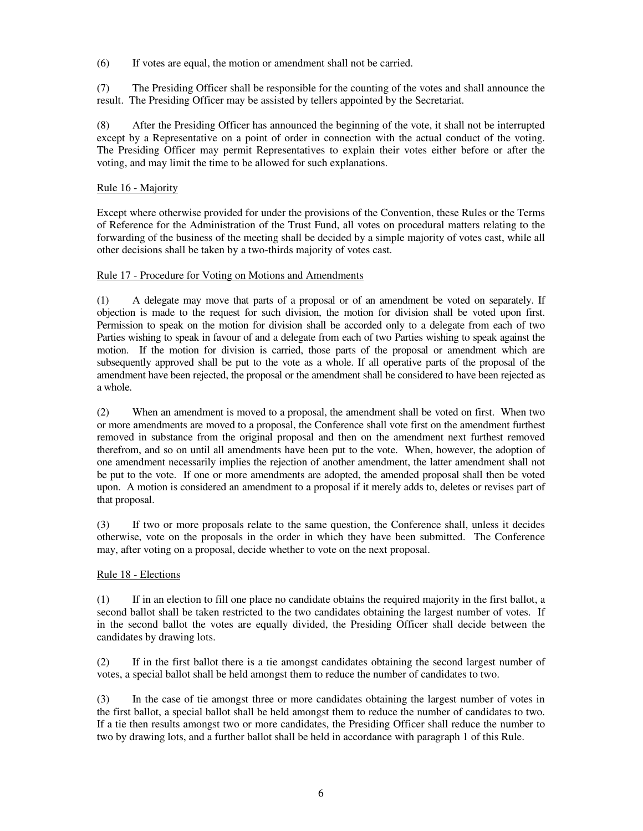(6) If votes are equal, the motion or amendment shall not be carried.

(7) The Presiding Officer shall be responsible for the counting of the votes and shall announce the result. The Presiding Officer may be assisted by tellers appointed by the Secretariat.

(8) After the Presiding Officer has announced the beginning of the vote, it shall not be interrupted except by a Representative on a point of order in connection with the actual conduct of the voting. The Presiding Officer may permit Representatives to explain their votes either before or after the voting, and may limit the time to be allowed for such explanations.

## Rule 16 - Majority

Except where otherwise provided for under the provisions of the Convention, these Rules or the Terms of Reference for the Administration of the Trust Fund, all votes on procedural matters relating to the forwarding of the business of the meeting shall be decided by a simple majority of votes cast, while all other decisions shall be taken by a two-thirds majority of votes cast.

## Rule 17 - Procedure for Voting on Motions and Amendments

(1) A delegate may move that parts of a proposal or of an amendment be voted on separately. If objection is made to the request for such division, the motion for division shall be voted upon first. Permission to speak on the motion for division shall be accorded only to a delegate from each of two Parties wishing to speak in favour of and a delegate from each of two Parties wishing to speak against the motion. If the motion for division is carried, those parts of the proposal or amendment which are subsequently approved shall be put to the vote as a whole. If all operative parts of the proposal of the amendment have been rejected, the proposal or the amendment shall be considered to have been rejected as a whole.

(2) When an amendment is moved to a proposal, the amendment shall be voted on first. When two or more amendments are moved to a proposal, the Conference shall vote first on the amendment furthest removed in substance from the original proposal and then on the amendment next furthest removed therefrom, and so on until all amendments have been put to the vote. When, however, the adoption of one amendment necessarily implies the rejection of another amendment, the latter amendment shall not be put to the vote. If one or more amendments are adopted, the amended proposal shall then be voted upon. A motion is considered an amendment to a proposal if it merely adds to, deletes or revises part of that proposal.

(3) If two or more proposals relate to the same question, the Conference shall, unless it decides otherwise, vote on the proposals in the order in which they have been submitted. The Conference may, after voting on a proposal, decide whether to vote on the next proposal.

## Rule 18 - Elections

(1) If in an election to fill one place no candidate obtains the required majority in the first ballot, a second ballot shall be taken restricted to the two candidates obtaining the largest number of votes. If in the second ballot the votes are equally divided, the Presiding Officer shall decide between the candidates by drawing lots.

(2) If in the first ballot there is a tie amongst candidates obtaining the second largest number of votes, a special ballot shall be held amongst them to reduce the number of candidates to two.

(3) In the case of tie amongst three or more candidates obtaining the largest number of votes in the first ballot, a special ballot shall be held amongst them to reduce the number of candidates to two. If a tie then results amongst two or more candidates, the Presiding Officer shall reduce the number to two by drawing lots, and a further ballot shall be held in accordance with paragraph 1 of this Rule.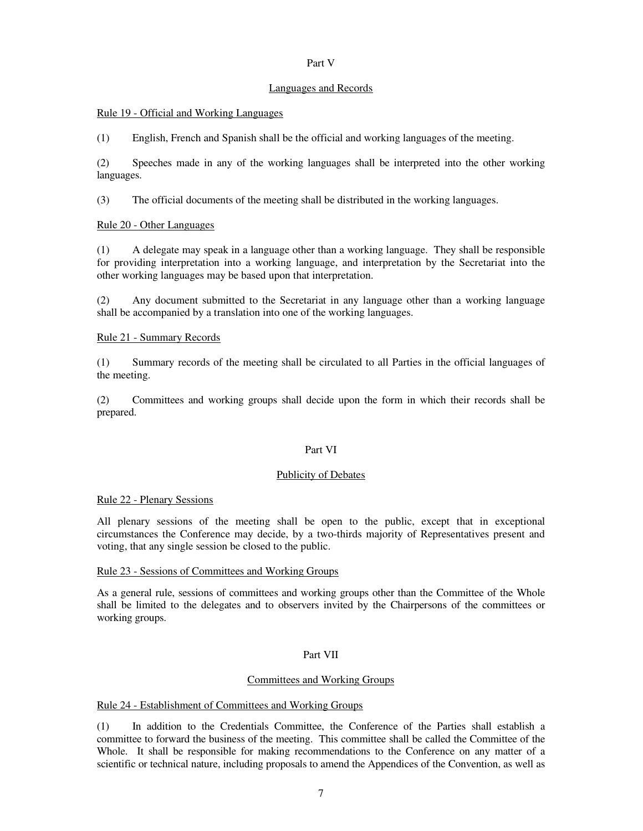## Part V

#### Languages and Records

### Rule 19 - Official and Working Languages

(1) English, French and Spanish shall be the official and working languages of the meeting.

(2) Speeches made in any of the working languages shall be interpreted into the other working languages.

(3) The official documents of the meeting shall be distributed in the working languages.

## Rule 20 - Other Languages

(1) A delegate may speak in a language other than a working language. They shall be responsible for providing interpretation into a working language, and interpretation by the Secretariat into the other working languages may be based upon that interpretation.

(2) Any document submitted to the Secretariat in any language other than a working language shall be accompanied by a translation into one of the working languages.

## Rule 21 - Summary Records

(1) Summary records of the meeting shall be circulated to all Parties in the official languages of the meeting.

(2) Committees and working groups shall decide upon the form in which their records shall be prepared.

## Part VI

#### Publicity of Debates

#### Rule 22 - Plenary Sessions

All plenary sessions of the meeting shall be open to the public, except that in exceptional circumstances the Conference may decide, by a two-thirds majority of Representatives present and voting, that any single session be closed to the public.

#### Rule 23 - Sessions of Committees and Working Groups

As a general rule, sessions of committees and working groups other than the Committee of the Whole shall be limited to the delegates and to observers invited by the Chairpersons of the committees or working groups.

## Part VII

## Committees and Working Groups

#### Rule 24 - Establishment of Committees and Working Groups

(1) In addition to the Credentials Committee, the Conference of the Parties shall establish a committee to forward the business of the meeting. This committee shall be called the Committee of the Whole. It shall be responsible for making recommendations to the Conference on any matter of a scientific or technical nature, including proposals to amend the Appendices of the Convention, as well as